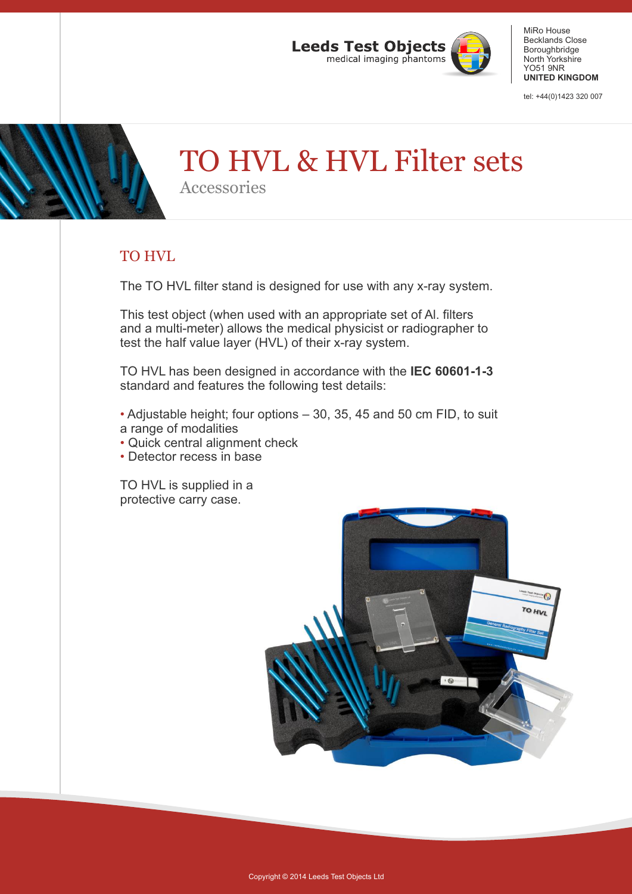

tel: +44(0)1423 320 007

# TO HVL & HVL Filter sets

Accessories

### TO HVL

The TO HVL filter stand is designed for use with any x-ray system.

This test object (when used with an appropriate set of Al. filters and a multi-meter) allows the medical physicist or radiographer to test the half value layer (HVL) of their x-ray system.

TO HVL has been designed in accordance with the **IEC 60601-1-3** standard and features the following test details:

• Adjustable height; four options – 30, 35, 45 and 50 cm FID, to suit a range of modalities

- Quick central alignment check
- Detector recess in base

TO HVL is supplied in a protective carry case.

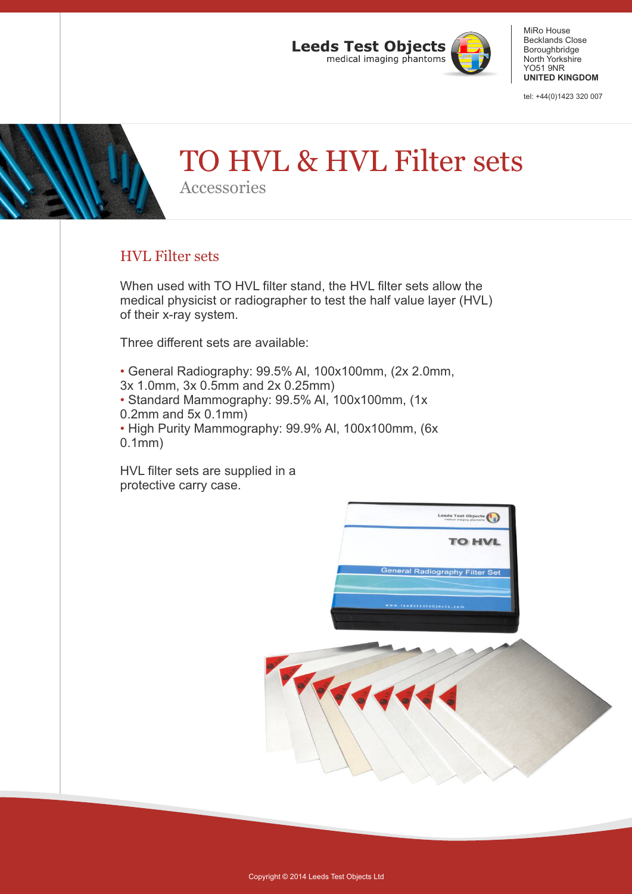

tel: +44(0)1423 320 007

# TO HVL & HVL Filter sets

Accessories

### HVL Filter sets

When used with TO HVL filter stand, the HVL filter sets allow the medical physicist or radiographer to test the half value layer (HVL) of their x-ray system.

Three different sets are available:

• General Radiography: 99.5% Al, 100x100mm, (2x 2.0mm,

3x 1.0mm, 3x 0.5mm and 2x 0.25mm)

• Standard Mammography: 99.5% Al, 100x100mm, (1x

0.2mm and 5x 0.1mm)

• High Purity Mammography: 99.9% Al, 100x100mm, (6x 0.1mm)

HVL filter sets are supplied in a protective carry case.

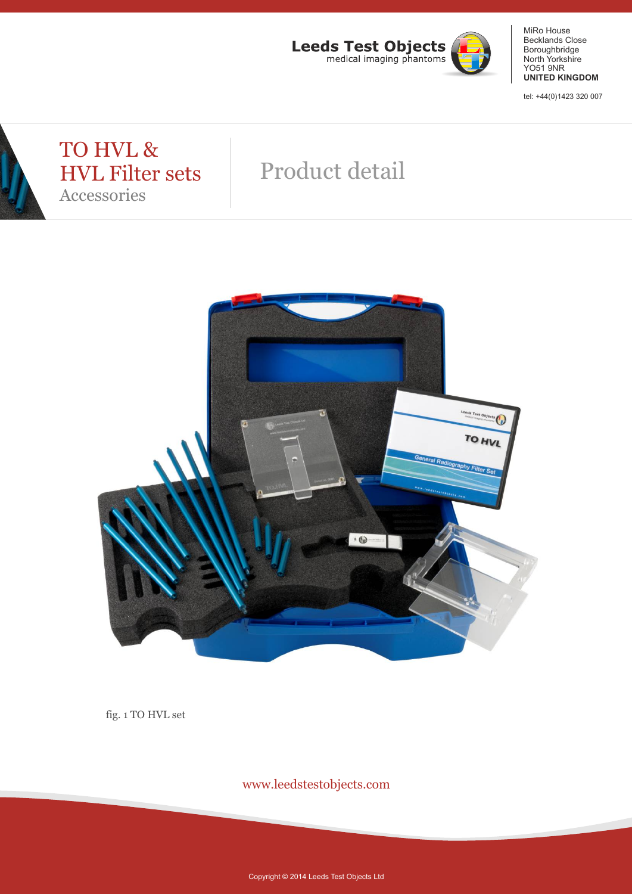

tel: +44(0)1423 320 007

### TO HVL & HVL Filter sets Accessories

## Product detail



fig. 1 TO HVL set

www.leedstestobjects.com